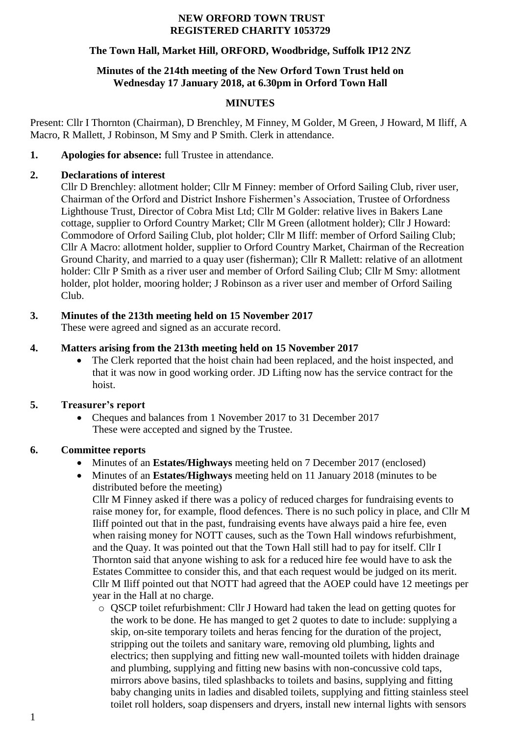#### **NEW ORFORD TOWN TRUST REGISTERED CHARITY 1053729**

#### **The Town Hall, Market Hill, ORFORD, Woodbridge, Suffolk IP12 2NZ**

#### **Minutes of the 214th meeting of the New Orford Town Trust held on Wednesday 17 January 2018, at 6.30pm in Orford Town Hall**

#### **MINUTES**

Present: Cllr I Thornton (Chairman), D Brenchley, M Finney, M Golder, M Green, J Howard, M Iliff, A Macro, R Mallett, J Robinson, M Smy and P Smith. Clerk in attendance.

**1. Apologies for absence:** full Trustee in attendance.

## **2. Declarations of interest**

Cllr D Brenchley: allotment holder; Cllr M Finney: member of Orford Sailing Club, river user, Chairman of the Orford and District Inshore Fishermen's Association, Trustee of Orfordness Lighthouse Trust, Director of Cobra Mist Ltd; Cllr M Golder: relative lives in Bakers Lane cottage, supplier to Orford Country Market; Cllr M Green (allotment holder); Cllr J Howard: Commodore of Orford Sailing Club, plot holder; Cllr M Iliff: member of Orford Sailing Club; Cllr A Macro: allotment holder, supplier to Orford Country Market, Chairman of the Recreation Ground Charity, and married to a quay user (fisherman); Cllr R Mallett: relative of an allotment holder: Cllr P Smith as a river user and member of Orford Sailing Club; Cllr M Smy: allotment holder, plot holder, mooring holder; J Robinson as a river user and member of Orford Sailing Club.

# **3. Minutes of the 213th meeting held on 15 November 2017**

These were agreed and signed as an accurate record.

## **4. Matters arising from the 213th meeting held on 15 November 2017**

 The Clerk reported that the hoist chain had been replaced, and the hoist inspected, and that it was now in good working order. JD Lifting now has the service contract for the hoist.

## **5. Treasurer's report**

• Cheques and balances from 1 November 2017 to 31 December 2017 These were accepted and signed by the Trustee.

## **6. Committee reports**

- Minutes of an **Estates/Highways** meeting held on 7 December 2017 (enclosed)
- Minutes of an **Estates/Highways** meeting held on 11 January 2018 (minutes to be distributed before the meeting)

Cllr M Finney asked if there was a policy of reduced charges for fundraising events to raise money for, for example, flood defences. There is no such policy in place, and Cllr M Iliff pointed out that in the past, fundraising events have always paid a hire fee, even when raising money for NOTT causes, such as the Town Hall windows refurbishment, and the Quay. It was pointed out that the Town Hall still had to pay for itself. Cllr I Thornton said that anyone wishing to ask for a reduced hire fee would have to ask the Estates Committee to consider this, and that each request would be judged on its merit. Cllr M Iliff pointed out that NOTT had agreed that the AOEP could have 12 meetings per year in the Hall at no charge.

o QSCP toilet refurbishment: Cllr J Howard had taken the lead on getting quotes for the work to be done. He has manged to get 2 quotes to date to include: supplying a skip, on-site temporary toilets and heras fencing for the duration of the project, stripping out the toilets and sanitary ware, removing old plumbing, lights and electrics; then supplying and fitting new wall-mounted toilets with hidden drainage and plumbing, supplying and fitting new basins with non-concussive cold taps, mirrors above basins, tiled splashbacks to toilets and basins, supplying and fitting baby changing units in ladies and disabled toilets, supplying and fitting stainless steel toilet roll holders, soap dispensers and dryers, install new internal lights with sensors